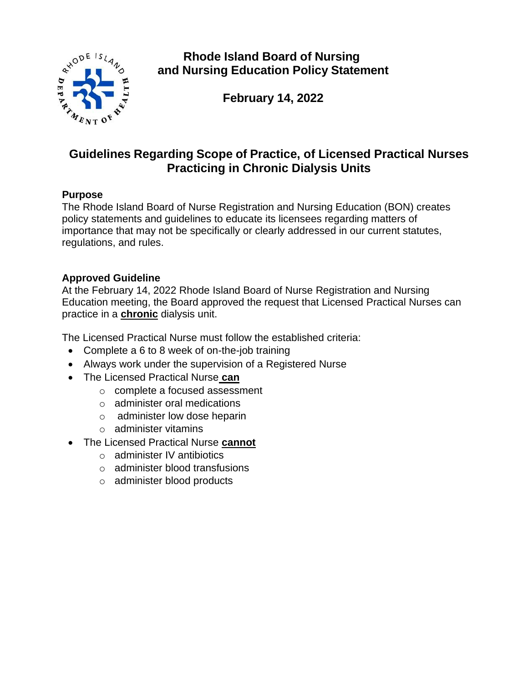

**Rhode Island Board of Nursing and Nursing Education Policy Statement**

**February 14, 2022**

# **Guidelines Regarding Scope of Practice, of Licensed Practical Nurses Practicing in Chronic Dialysis Units**

## **Purpose**

The Rhode Island Board of Nurse Registration and Nursing Education (BON) creates policy statements and guidelines to educate its licensees regarding matters of importance that may not be specifically or clearly addressed in our current statutes, regulations, and rules.

### **Approved Guideline**

At the February 14, 2022 Rhode Island Board of Nurse Registration and Nursing Education meeting, the Board approved the request that Licensed Practical Nurses can practice in a **chronic** dialysis unit.

The Licensed Practical Nurse must follow the established criteria:

- Complete a 6 to 8 week of on-the-job training
- Always work under the supervision of a Registered Nurse
- The Licensed Practical Nurse **can**
	- o complete a focused assessment
	- o administer oral medications
	- o administer low dose heparin
	- o administer vitamins
- The Licensed Practical Nurse **cannot**
	- o administer IV antibiotics
	- o administer blood transfusions
	- o administer blood products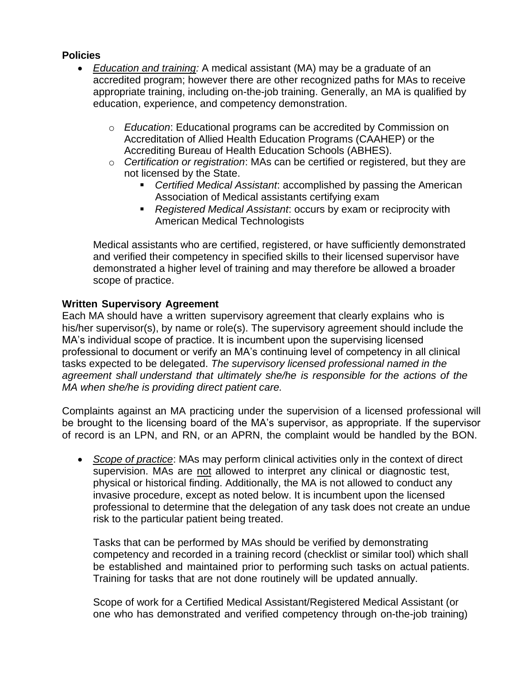#### **Policies**

- *Education and training:* A medical assistant (MA) may be a graduate of an accredited program; however there are other recognized paths for MAs to receive appropriate training, including on-the-job training. Generally, an MA is qualified by education, experience, and competency demonstration.
	- o *Education*: Educational programs can be accredited by Commission on Accreditation of Allied Health Education Programs (CAAHEP) or the Accrediting Bureau of Health Education Schools (ABHES).
	- o *Certification or registration*: MAs can be certified or registered, but they are not licensed by the State.
		- *Certified Medical Assistant:* accomplished by passing the American Association of Medical assistants certifying exam
		- *Registered Medical Assistant*: occurs by exam or reciprocity with American Medical Technologists

Medical assistants who are certified, registered, or have sufficiently demonstrated and verified their competency in specified skills to their licensed supervisor have demonstrated a higher level of training and may therefore be allowed a broader scope of practice.

### **Written Supervisory Agreement**

Each MA should have a written supervisory agreement that clearly explains who is his/her supervisor(s), by name or role(s). The supervisory agreement should include the MA's individual scope of practice. It is incumbent upon the supervising licensed professional to document or verify an MA's continuing level of competency in all clinical tasks expected to be delegated. *The supervisory licensed professional named in the agreement shall understand that ultimately she/he is responsible for the actions of the MA when she/he is providing direct patient care.*

Complaints against an MA practicing under the supervision of a licensed professional will be brought to the licensing board of the MA's supervisor, as appropriate. If the supervisor of record is an LPN, and RN, or an APRN, the complaint would be handled by the BON.

• *Scope of practice*: MAs may perform clinical activities only in the context of direct supervision. MAs are not allowed to interpret any clinical or diagnostic test, physical or historical finding. Additionally, the MA is not allowed to conduct any invasive procedure, except as noted below. It is incumbent upon the licensed professional to determine that the delegation of any task does not create an undue risk to the particular patient being treated.

Tasks that can be performed by MAs should be verified by demonstrating competency and recorded in a training record (checklist or similar tool) which shall be established and maintained prior to performing such tasks on actual patients. Training for tasks that are not done routinely will be updated annually.

Scope of work for a Certified Medical Assistant/Registered Medical Assistant (or one who has demonstrated and verified competency through on-the-job training)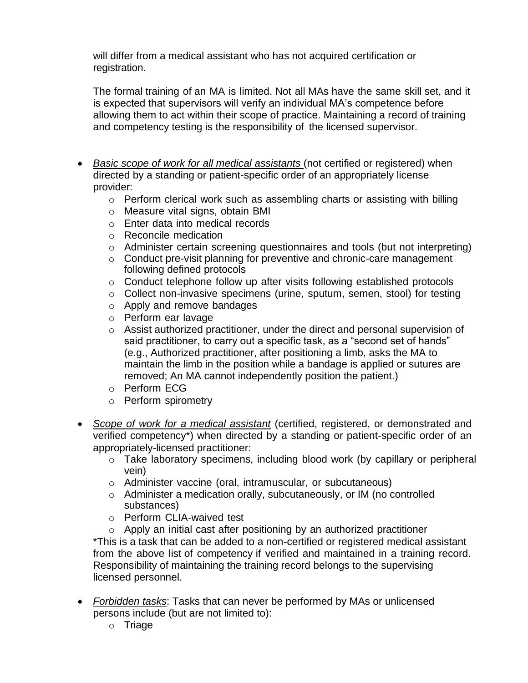will differ from a medical assistant who has not acquired certification or registration.

The formal training of an MA is limited. Not all MAs have the same skill set, and it is expected that supervisors will verify an individual MA's competence before allowing them to act within their scope of practice. Maintaining a record of training and competency testing is the responsibility of the licensed supervisor.

- *Basic scope of work for all medical assistants* (not certified or registered) when directed by a standing or patient-specific order of an appropriately license provider:
	- o Perform clerical work such as assembling charts or assisting with billing
	- o Measure vital signs, obtain BMI
	- o Enter data into medical records
	- o Reconcile medication
	- o Administer certain screening questionnaires and tools (but not interpreting)
	- o Conduct pre-visit planning for preventive and chronic-care management following defined protocols
	- o Conduct telephone follow up after visits following established protocols
	- o Collect non-invasive specimens (urine, sputum, semen, stool) for testing
	- o Apply and remove bandages
	- o Perform ear lavage
	- o Assist authorized practitioner, under the direct and personal supervision of said practitioner, to carry out a specific task, as a "second set of hands" (e.g., Authorized practitioner, after positioning a limb, asks the MA to maintain the limb in the position while a bandage is applied or sutures are removed; An MA cannot independently position the patient.)
	- o Perform ECG
	- o Perform spirometry
- *Scope of work for a medical assistant* (certified, registered, or demonstrated and verified competency\*) when directed by a standing or patient-specific order of an appropriately-licensed practitioner:
	- o Take laboratory specimens, including blood work (by capillary or peripheral vein)
	- o Administer vaccine (oral, intramuscular, or subcutaneous)
	- o Administer a medication orally, subcutaneously, or IM (no controlled substances)
	- o Perform CLIA-waived test

o Apply an initial cast after positioning by an authorized practitioner \*This is a task that can be added to a non-certified or registered medical assistant from the above list of competency if verified and maintained in a training record. Responsibility of maintaining the training record belongs to the supervising licensed personnel.

- *Forbidden tasks*: Tasks that can never be performed by MAs or unlicensed persons include (but are not limited to):
	- o Triage